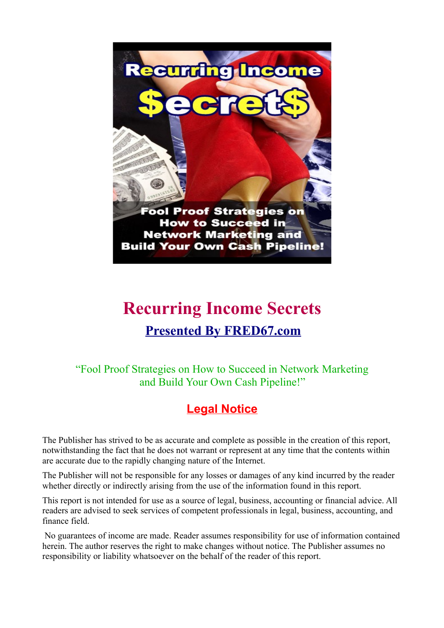

# **Recurring Income Secrets [Presented By FRED67.com](http://fred67.com/)**

"Fool Proof Strategies on How to Succeed in Network Marketing and Build Your Own Cash Pipeline!"

# **Legal Notice**

The Publisher has strived to be as accurate and complete as possible in the creation of this report, notwithstanding the fact that he does not warrant or represent at any time that the contents within are accurate due to the rapidly changing nature of the Internet.

The Publisher will not be responsible for any losses or damages of any kind incurred by the reader whether directly or indirectly arising from the use of the information found in this report.

This report is not intended for use as a source of legal, business, accounting or financial advice. All readers are advised to seek services of competent professionals in legal, business, accounting, and finance field.

No guarantees of income are made. Reader assumes responsibility for use of information contained herein. The author reserves the right to make changes without notice. The Publisher assumes no responsibility or liability whatsoever on the behalf of the reader of this report.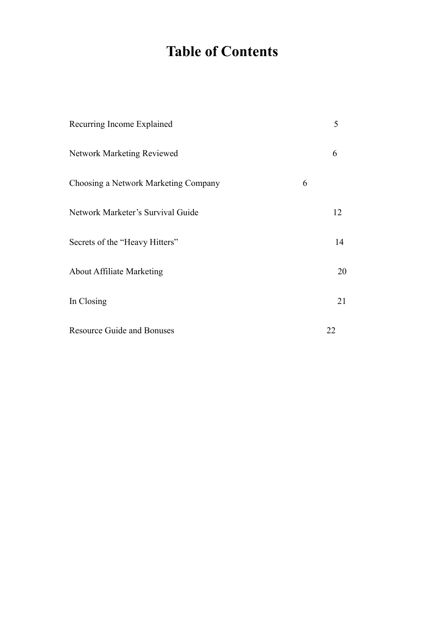# **Table of Contents**

| Recurring Income Explained           |   | 5  |
|--------------------------------------|---|----|
| <b>Network Marketing Reviewed</b>    |   | 6  |
| Choosing a Network Marketing Company | 6 |    |
| Network Marketer's Survival Guide    |   | 12 |
| Secrets of the "Heavy Hitters"       |   | 14 |
| <b>About Affiliate Marketing</b>     |   | 20 |
| In Closing                           |   | 21 |
| <b>Resource Guide and Bonuses</b>    |   | 22 |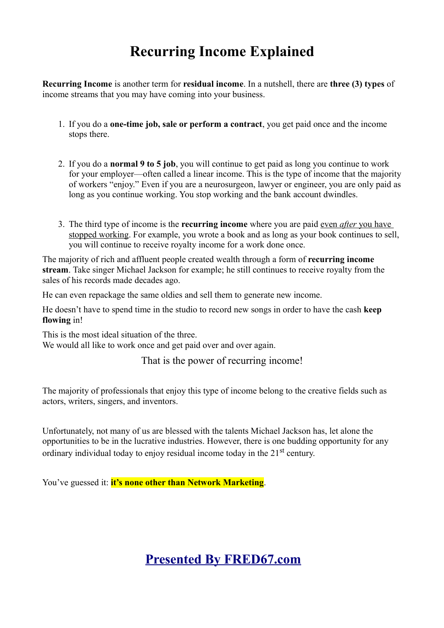# **Recurring Income Explained**

**Recurring Income** is another term for **residual income**. In a nutshell, there are **three (3) types** of income streams that you may have coming into your business.

- 1. If you do a **one-time job, sale or perform a contract**, you get paid once and the income stops there.
- 2. If you do a **normal 9 to 5 job**, you will continue to get paid as long you continue to work for your employer—often called a linear income. This is the type of income that the majority of workers "enjoy." Even if you are a neurosurgeon, lawyer or engineer, you are only paid as long as you continue working. You stop working and the bank account dwindles.
- 3. The third type of income is the **recurring income** where you are paid even *after* you have stopped working. For example, you wrote a book and as long as your book continues to sell, you will continue to receive royalty income for a work done once.

The majority of rich and affluent people created wealth through a form of **recurring income stream**. Take singer Michael Jackson for example; he still continues to receive royalty from the sales of his records made decades ago.

He can even repackage the same oldies and sell them to generate new income.

He doesn't have to spend time in the studio to record new songs in order to have the cash **keep flowing** in!

This is the most ideal situation of the three. We would all like to work once and get paid over and over again.

That is the power of recurring income!

The majority of professionals that enjoy this type of income belong to the creative fields such as actors, writers, singers, and inventors.

Unfortunately, not many of us are blessed with the talents Michael Jackson has, let alone the opportunities to be in the lucrative industries. However, there is one budding opportunity for any ordinary individual today to enjoy residual income today in the 21<sup>st</sup> century.

You've guessed it: **it's none other than Network Marketing**.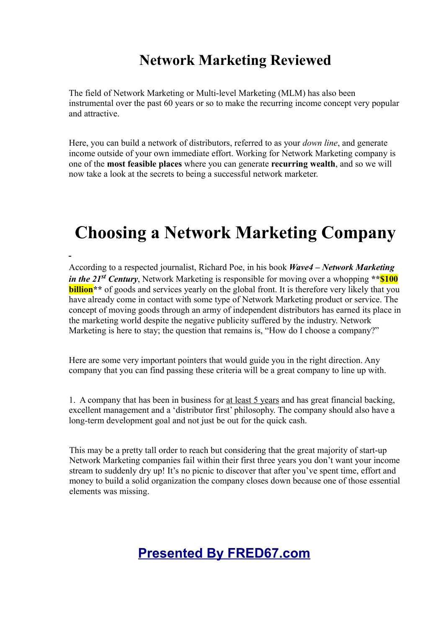# **Network Marketing Reviewed**

The field of Network Marketing or Multi-level Marketing (MLM) has also been instrumental over the past 60 years or so to make the recurring income concept very popular and attractive.

Here, you can build a network of distributors, referred to as your *down line*, and generate income outside of your own immediate effort. Working for Network Marketing company is one of the **most feasible places** where you can generate **recurring wealth**, and so we will now take a look at the secrets to being a successful network marketer.

# **Choosing a Network Marketing Company**

According to a respected journalist, Richard Poe, in his book *Wave4 – Network Marketing in the 21st Century*, Network Marketing is responsible for moving over a whopping **\*\*\$100 billion**<sup>\*\*</sup> of goods and services yearly on the global front. It is therefore very likely that you have already come in contact with some type of Network Marketing product or service. The concept of moving goods through an army of independent distributors has earned its place in the marketing world despite the negative publicity suffered by the industry. Network Marketing is here to stay; the question that remains is, "How do I choose a company?"

Here are some very important pointers that would guide you in the right direction. Any company that you can find passing these criteria will be a great company to line up with.

1. A company that has been in business for at least 5 years and has great financial backing, excellent management and a 'distributor first' philosophy. The company should also have a long-term development goal and not just be out for the quick cash.

This may be a pretty tall order to reach but considering that the great majority of start-up Network Marketing companies fail within their first three years you don't want your income stream to suddenly dry up! It's no picnic to discover that after you've spent time, effort and money to build a solid organization the company closes down because one of those essential elements was missing.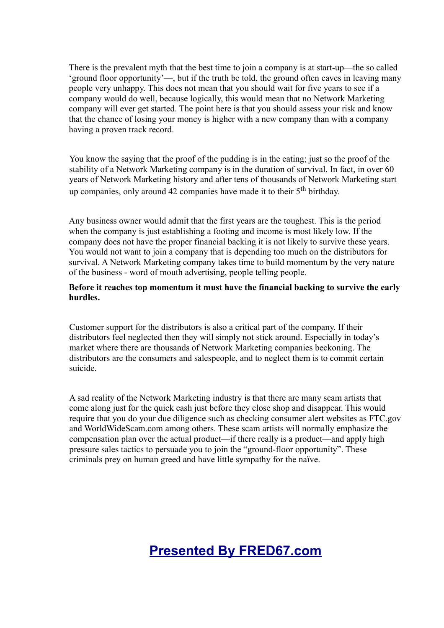There is the prevalent myth that the best time to join a company is at start-up—the so called 'ground floor opportunity'—, but if the truth be told, the ground often caves in leaving many people very unhappy. This does not mean that you should wait for five years to see if a company would do well, because logically, this would mean that no Network Marketing company will ever get started. The point here is that you should assess your risk and know that the chance of losing your money is higher with a new company than with a company having a proven track record.

You know the saying that the proof of the pudding is in the eating; just so the proof of the stability of a Network Marketing company is in the duration of survival. In fact, in over 60 years of Network Marketing history and after tens of thousands of Network Marketing start up companies, only around 42 companies have made it to their  $5<sup>th</sup>$  birthday.

Any business owner would admit that the first years are the toughest. This is the period when the company is just establishing a footing and income is most likely low. If the company does not have the proper financial backing it is not likely to survive these years. You would not want to join a company that is depending too much on the distributors for survival. A Network Marketing company takes time to build momentum by the very nature of the business - word of mouth advertising, people telling people.

### **Before it reaches top momentum it must have the financial backing to survive the early hurdles.**

Customer support for the distributors is also a critical part of the company. If their distributors feel neglected then they will simply not stick around. Especially in today's market where there are thousands of Network Marketing companies beckoning. The distributors are the consumers and salespeople, and to neglect them is to commit certain suicide.

A sad reality of the Network Marketing industry is that there are many scam artists that come along just for the quick cash just before they close shop and disappear. This would require that you do your due diligence such as checking consumer alert websites as FTC.gov and WorldWideScam.com among others. These scam artists will normally emphasize the compensation plan over the actual product—if there really is a product—and apply high pressure sales tactics to persuade you to join the "ground-floor opportunity". These criminals prey on human greed and have little sympathy for the naïve.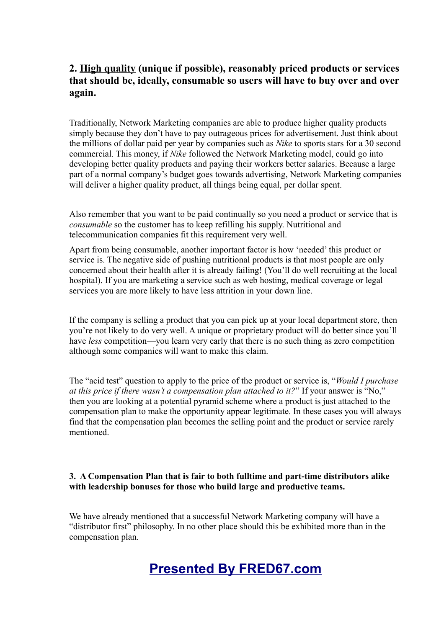### **2. High quality (unique if possible), reasonably priced products or services that should be, ideally, consumable so users will have to buy over and over again.**

Traditionally, Network Marketing companies are able to produce higher quality products simply because they don't have to pay outrageous prices for advertisement. Just think about the millions of dollar paid per year by companies such as *Nike* to sports stars for a 30 second commercial. This money, if *Nike* followed the Network Marketing model, could go into developing better quality products and paying their workers better salaries. Because a large part of a normal company's budget goes towards advertising, Network Marketing companies will deliver a higher quality product, all things being equal, per dollar spent.

Also remember that you want to be paid continually so you need a product or service that is *consumable* so the customer has to keep refilling his supply. Nutritional and telecommunication companies fit this requirement very well.

Apart from being consumable, another important factor is how 'needed' this product or service is. The negative side of pushing nutritional products is that most people are only concerned about their health after it is already failing! (You'll do well recruiting at the local hospital). If you are marketing a service such as web hosting, medical coverage or legal services you are more likely to have less attrition in your down line.

If the company is selling a product that you can pick up at your local department store, then you're not likely to do very well. A unique or proprietary product will do better since you'll have *less* competition—you learn very early that there is no such thing as zero competition although some companies will want to make this claim.

The "acid test" question to apply to the price of the product or service is, "*Would I purchase at this price if there wasn't a compensation plan attached to it?*" If your answer is "No," then you are looking at a potential pyramid scheme where a product is just attached to the compensation plan to make the opportunity appear legitimate. In these cases you will always find that the compensation plan becomes the selling point and the product or service rarely mentioned.

### **3. A Compensation Plan that is fair to both fulltime and part-time distributors alike with leadership bonuses for those who build large and productive teams.**

We have already mentioned that a successful Network Marketing company will have a "distributor first" philosophy. In no other place should this be exhibited more than in the compensation plan.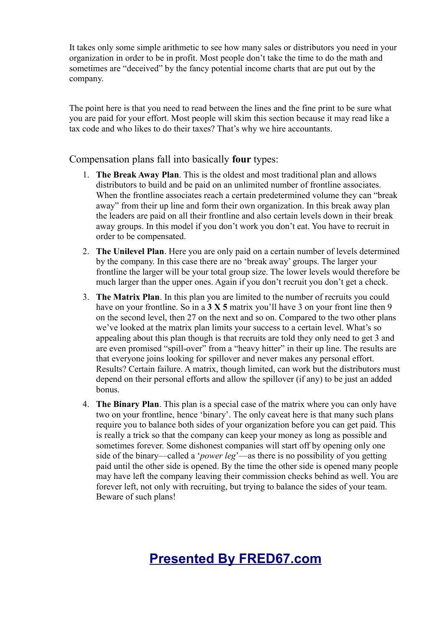It takes only some simple arithmetic to see how many sales or distributors you need in your organization in order to be in profit. Most people don't take the time to do the math and sometimes are "deceived" by the fancy potential income charts that are put out by the company.

The point here is that you need to read between the lines and the fine print to be sure what you are paid for your effort. Most people will skim this section because it may read like a tax code and who likes to do their taxes? That's why we hire accountants.

Compensation plans fall into basically **four** types:

- 1. **The Break Away Plan**. This is the oldest and most traditional plan and allows distributors to build and be paid on an unlimited number of frontline associates. When the frontline associates reach a certain predetermined volume they can "break away" from their up line and form their own organization. In this break away plan the leaders are paid on all their frontline and also certain levels down in their break away groups. In this model if you don't work you don't eat. You have to recruit in order to be compensated.
- 2. **The Unilevel Plan**. Here you are only paid on a certain number of levels determined by the company. In this case there are no 'break away' groups. The larger your frontline the larger will be your total group size. The lower levels would therefore be much larger than the upper ones. Again if you don't recruit you don't get a check.
- 3. **The Matrix Plan**. In this plan you are limited to the number of recruits you could have on your frontline. So in a 3 X 5 matrix you'll have 3 on your front line then 9 on the second level, then 27 on the next and so on. Compared to the two other plans we've looked at the matrix plan limits your success to a certain level. What's so appealing about this plan though is that recruits are told they only need to get 3 and are even promised "spill-over" from a "heavy hitter" in their up line. The results are that everyone joins looking for spillover and never makes any personal effort. Results? Certain failure. A matrix, though limited, can work but the distributors must depend on their personal efforts and allow the spillover (if any) to be just an added bonus.
- 4. **The Binary Plan**. This plan is a special case of the matrix where you can only have two on your frontline, hence 'binary'. The only caveat here is that many such plans require you to balance both sides of your organization before you can get paid. This is really a trick so that the company can keep your money as long as possible and sometimes forever. Some dishonest companies will start off by opening only one side of the binary—called a '*power leg*'—as there is no possibility of you getting paid until the other side is opened. By the time the other side is opened many people may have left the company leaving their commission checks behind as well. You are forever left, not only with recruiting, but trying to balance the sides of your team. Beware of such plans!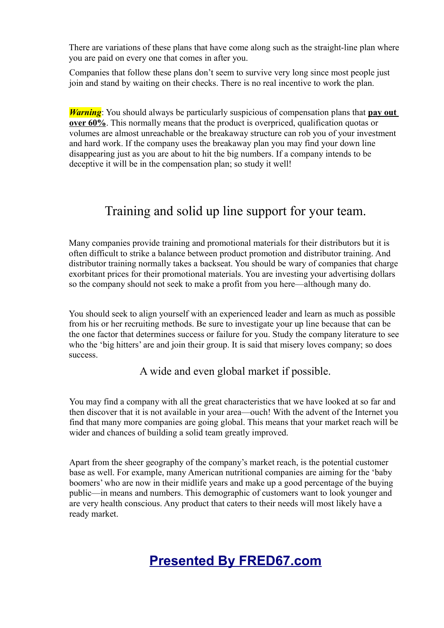There are variations of these plans that have come along such as the straight-line plan where you are paid on every one that comes in after you.

Companies that follow these plans don't seem to survive very long since most people just join and stand by waiting on their checks. There is no real incentive to work the plan.

*Warning*: You should always be particularly suspicious of compensation plans that **pay out over 60%**. This normally means that the product is overpriced, qualification quotas or volumes are almost unreachable or the breakaway structure can rob you of your investment and hard work. If the company uses the breakaway plan you may find your down line disappearing just as you are about to hit the big numbers. If a company intends to be deceptive it will be in the compensation plan; so study it well!

### Training and solid up line support for your team.

Many companies provide training and promotional materials for their distributors but it is often difficult to strike a balance between product promotion and distributor training. And distributor training normally takes a backseat. You should be wary of companies that charge exorbitant prices for their promotional materials. You are investing your advertising dollars so the company should not seek to make a profit from you here—although many do.

You should seek to align yourself with an experienced leader and learn as much as possible from his or her recruiting methods. Be sure to investigate your up line because that can be the one factor that determines success or failure for you. Study the company literature to see who the 'big hitters' are and join their group. It is said that misery loves company; so does success.

A wide and even global market if possible.

You may find a company with all the great characteristics that we have looked at so far and then discover that it is not available in your area—ouch! With the advent of the Internet you find that many more companies are going global. This means that your market reach will be wider and chances of building a solid team greatly improved.

Apart from the sheer geography of the company's market reach, is the potential customer base as well. For example, many American nutritional companies are aiming for the 'baby boomers' who are now in their midlife years and make up a good percentage of the buying public—in means and numbers. This demographic of customers want to look younger and are very health conscious. Any product that caters to their needs will most likely have a ready market.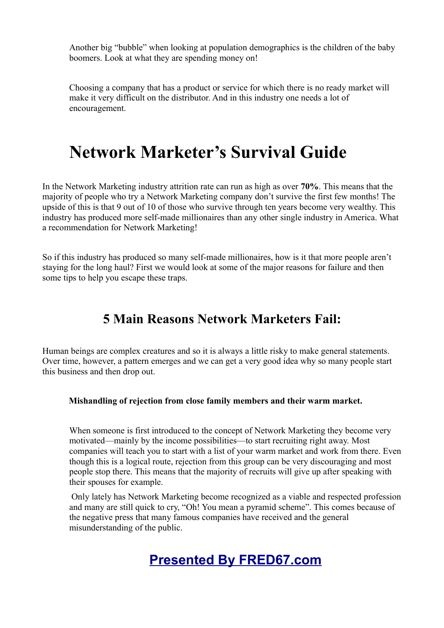Another big "bubble" when looking at population demographics is the children of the baby boomers. Look at what they are spending money on!

Choosing a company that has a product or service for which there is no ready market will make it very difficult on the distributor. And in this industry one needs a lot of encouragement.

# **Network Marketer's Survival Guide**

In the Network Marketing industry attrition rate can run as high as over **70%**. This means that the majority of people who try a Network Marketing company don't survive the first few months! The upside of this is that 9 out of 10 of those who survive through ten years become very wealthy. This industry has produced more self-made millionaires than any other single industry in America. What a recommendation for Network Marketing!

So if this industry has produced so many self-made millionaires, how is it that more people aren't staying for the long haul? First we would look at some of the major reasons for failure and then some tips to help you escape these traps.

### **5 Main Reasons Network Marketers Fail:**

Human beings are complex creatures and so it is always a little risky to make general statements. Over time, however, a pattern emerges and we can get a very good idea why so many people start this business and then drop out.

#### **Mishandling of rejection from close family members and their warm market.**

When someone is first introduced to the concept of Network Marketing they become very motivated—mainly by the income possibilities—to start recruiting right away. Most companies will teach you to start with a list of your warm market and work from there. Even though this is a logical route, rejection from this group can be very discouraging and most people stop there. This means that the majority of recruits will give up after speaking with their spouses for example.

Only lately has Network Marketing become recognized as a viable and respected profession and many are still quick to cry, "Oh! You mean a pyramid scheme". This comes because of the negative press that many famous companies have received and the general misunderstanding of the public.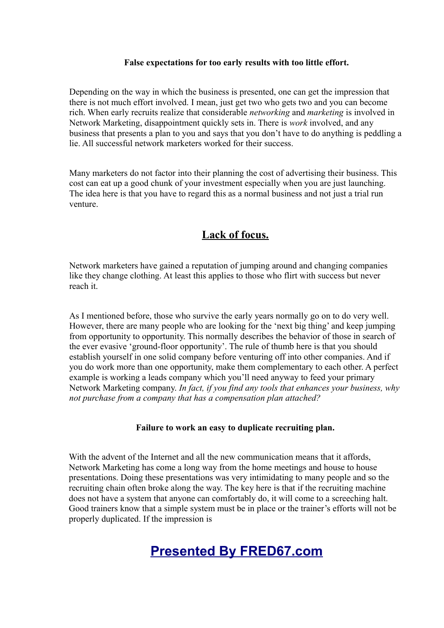#### **False expectations for too early results with too little effort.**

Depending on the way in which the business is presented, one can get the impression that there is not much effort involved. I mean, just get two who gets two and you can become rich. When early recruits realize that considerable *networking* and *marketing* is involved in Network Marketing, disappointment quickly sets in. There is *work* involved, and any business that presents a plan to you and says that you don't have to do anything is peddling a lie. All successful network marketers worked for their success.

Many marketers do not factor into their planning the cost of advertising their business. This cost can eat up a good chunk of your investment especially when you are just launching. The idea here is that you have to regard this as a normal business and not just a trial run venture.

### **Lack of focus.**

Network marketers have gained a reputation of jumping around and changing companies like they change clothing. At least this applies to those who flirt with success but never reach it.

As I mentioned before, those who survive the early years normally go on to do very well. However, there are many people who are looking for the 'next big thing' and keep jumping from opportunity to opportunity. This normally describes the behavior of those in search of the ever evasive 'ground-floor opportunity'. The rule of thumb here is that you should establish yourself in one solid company before venturing off into other companies. And if you do work more than one opportunity, make them complementary to each other. A perfect example is working a leads company which you'll need anyway to feed your primary Network Marketing company. *In fact, if you find any tools that enhances your business, why not purchase from a company that has a compensation plan attached?*

#### **Failure to work an easy to duplicate recruiting plan.**

With the advent of the Internet and all the new communication means that it affords, Network Marketing has come a long way from the home meetings and house to house presentations. Doing these presentations was very intimidating to many people and so the recruiting chain often broke along the way. The key here is that if the recruiting machine does not have a system that anyone can comfortably do, it will come to a screeching halt. Good trainers know that a simple system must be in place or the trainer's efforts will not be properly duplicated. If the impression is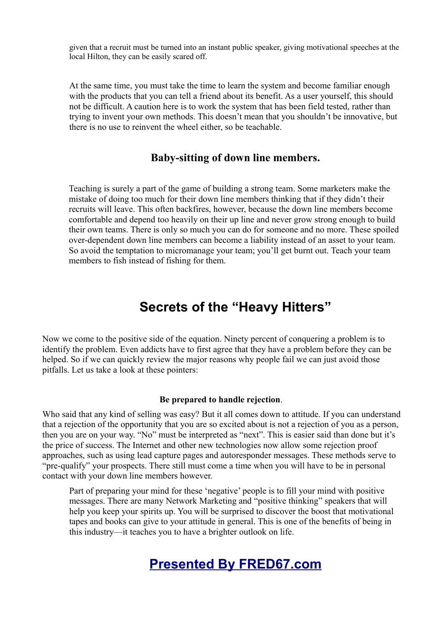given that a recruit must be turned into an instant public speaker, giving motivational speeches at the local Hilton, they can be easily scared off.

At the same time, you must take the time to learn the system and become familiar enough with the products that you can tell a friend about its benefit. As a user yourself, this should not be difficult. A caution here is to work the system that has been field tested, rather than trying to invent your own methods. This doesn't mean that you shouldn't be innovative, but there is no use to reinvent the wheel either, so be teachable.

### **Baby-sitting of down line members.**

Teaching is surely a part of the game of building a strong team. Some marketers make the mistake of doing too much for their down line members thinking that if they didn't their recruits will leave. This often backfires, however, because the down line members become comfortable and depend too heavily on their up line and never grow strong enough to build their own teams. There is only so much you can do for someone and no more. These spoiled over-dependent down line members can become a liability instead of an asset to your team. So avoid the temptation to micromanage your team; you'll get burnt out. Teach your team members to fish instead of fishing for them.

### **Secrets of the "Heavy Hitters"**

Now we come to the positive side of the equation. Ninety percent of conquering a problem is to identify the problem. Even addicts have to first agree that they have a problem before they can be helped. So if we can quickly review the major reasons why people fail we can just avoid those pitfalls. Let us take a look at these pointers:

#### **Be prepared to handle rejection**.

Who said that any kind of selling was easy? But it all comes down to attitude. If you can understand that a rejection of the opportunity that you are so excited about is not a rejection of you as a person, then you are on your way. "No" must be interpreted as "next". This is easier said than done but it's the price of success. The Internet and other new technologies now allow some rejection proof approaches, such as using lead capture pages and autoresponder messages. These methods serve to "pre-qualify" your prospects. There still must come a time when you will have to be in personal contact with your down line members however.

Part of preparing your mind for these 'negative' people is to fill your mind with positive messages. There are many Network Marketing and "positive thinking" speakers that will help you keep your spirits up. You will be surprised to discover the boost that motivational tapes and books can give to your attitude in general. This is one of the benefits of being in this industry—it teaches you to have a brighter outlook on life.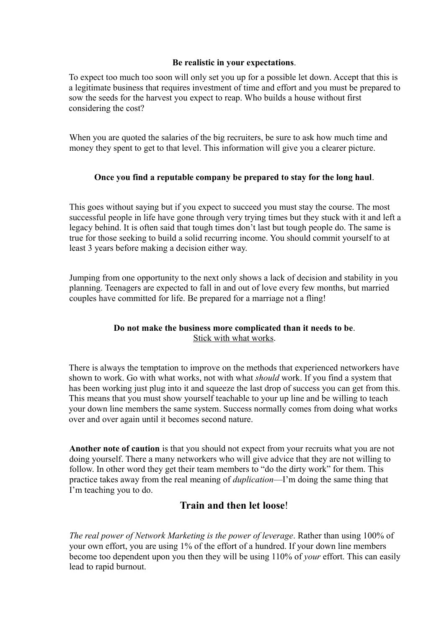### **Be realistic in your expectations**.

To expect too much too soon will only set you up for a possible let down. Accept that this is a legitimate business that requires investment of time and effort and you must be prepared to sow the seeds for the harvest you expect to reap. Who builds a house without first considering the cost?

When you are quoted the salaries of the big recruiters, be sure to ask how much time and money they spent to get to that level. This information will give you a clearer picture.

### **Once you find a reputable company be prepared to stay for the long haul**.

This goes without saying but if you expect to succeed you must stay the course. The most successful people in life have gone through very trying times but they stuck with it and left a legacy behind. It is often said that tough times don't last but tough people do. The same is true for those seeking to build a solid recurring income. You should commit yourself to at least 3 years before making a decision either way.

Jumping from one opportunity to the next only shows a lack of decision and stability in you planning. Teenagers are expected to fall in and out of love every few months, but married couples have committed for life. Be prepared for a marriage not a fling!

### **Do not make the business more complicated than it needs to be**. Stick with what works.

There is always the temptation to improve on the methods that experienced networkers have shown to work. Go with what works, not with what *should* work. If you find a system that has been working just plug into it and squeeze the last drop of success you can get from this. This means that you must show yourself teachable to your up line and be willing to teach your down line members the same system. Success normally comes from doing what works over and over again until it becomes second nature.

**Another note of caution** is that you should not expect from your recruits what you are not doing yourself. There a many networkers who will give advice that they are not willing to follow. In other word they get their team members to "do the dirty work" for them. This practice takes away from the real meaning of *duplication*—I'm doing the same thing that I'm teaching you to do.

### **Train and then let loose**!

*The real power of Network Marketing is the power of leverage*. Rather than using 100% of your own effort, you are using 1% of the effort of a hundred. If your down line members become too dependent upon you then they will be using 110% of *your* effort. This can easily lead to rapid burnout.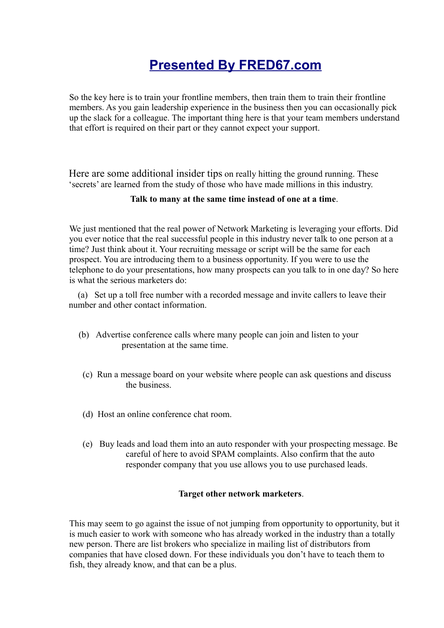# **[Presented By FRED67.com](http://fred67.com/)**

So the key here is to train your frontline members, then train them to train their frontline members. As you gain leadership experience in the business then you can occasionally pick up the slack for a colleague. The important thing here is that your team members understand that effort is required on their part or they cannot expect your support.

Here are some additional insider tips on really hitting the ground running. These 'secrets' are learned from the study of those who have made millions in this industry.

#### **Talk to many at the same time instead of one at a time**.

We just mentioned that the real power of Network Marketing is leveraging your efforts. Did you ever notice that the real successful people in this industry never talk to one person at a time? Just think about it. Your recruiting message or script will be the same for each prospect. You are introducing them to a business opportunity. If you were to use the telephone to do your presentations, how many prospects can you talk to in one day? So here is what the serious marketers do:

 (a) Set up a toll free number with a recorded message and invite callers to leave their number and other contact information.

- (b) Advertise conference calls where many people can join and listen to your presentation at the same time.
- (c) Run a message board on your website where people can ask questions and discuss the business.
- (d) Host an online conference chat room.
- (e) Buy leads and load them into an auto responder with your prospecting message. Be careful of here to avoid SPAM complaints. Also confirm that the auto responder company that you use allows you to use purchased leads.

#### **Target other network marketers**.

This may seem to go against the issue of not jumping from opportunity to opportunity, but it is much easier to work with someone who has already worked in the industry than a totally new person. There are list brokers who specialize in mailing list of distributors from companies that have closed down. For these individuals you don't have to teach them to fish, they already know, and that can be a plus.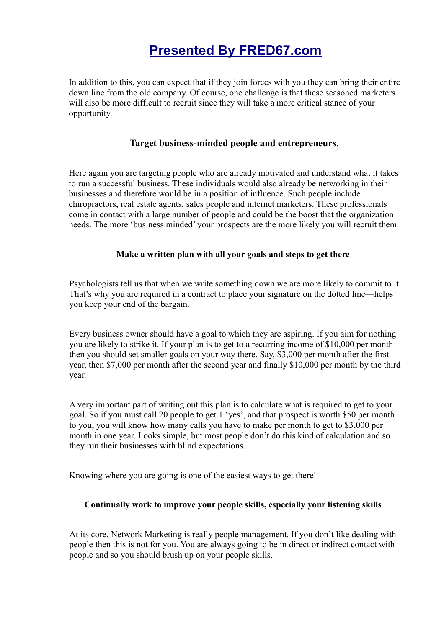# **[Presented By FRED67.com](http://fred67.com/)**

In addition to this, you can expect that if they join forces with you they can bring their entire down line from the old company. Of course, one challenge is that these seasoned marketers will also be more difficult to recruit since they will take a more critical stance of your opportunity.

### **Target business-minded people and entrepreneurs**.

Here again you are targeting people who are already motivated and understand what it takes to run a successful business. These individuals would also already be networking in their businesses and therefore would be in a position of influence. Such people include chiropractors, real estate agents, sales people and internet marketers. These professionals come in contact with a large number of people and could be the boost that the organization needs. The more 'business minded' your prospects are the more likely you will recruit them.

### **Make a written plan with all your goals and steps to get there**.

Psychologists tell us that when we write something down we are more likely to commit to it. That's why you are required in a contract to place your signature on the dotted line—helps you keep your end of the bargain.

Every business owner should have a goal to which they are aspiring. If you aim for nothing you are likely to strike it. If your plan is to get to a recurring income of \$10,000 per month then you should set smaller goals on your way there. Say, \$3,000 per month after the first year, then \$7,000 per month after the second year and finally \$10,000 per month by the third year.

A very important part of writing out this plan is to calculate what is required to get to your goal. So if you must call 20 people to get 1 'yes', and that prospect is worth \$50 per month to you, you will know how many calls you have to make per month to get to \$3,000 per month in one year. Looks simple, but most people don't do this kind of calculation and so they run their businesses with blind expectations.

Knowing where you are going is one of the easiest ways to get there!

#### **Continually work to improve your people skills, especially your listening skills**.

At its core, Network Marketing is really people management. If you don't like dealing with people then this is not for you. You are always going to be in direct or indirect contact with people and so you should brush up on your people skills.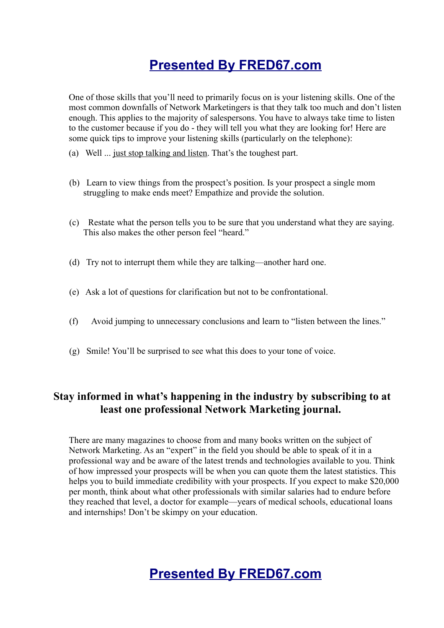# **[Presented By FRED67.com](http://fred67.com/)**

One of those skills that you'll need to primarily focus on is your listening skills. One of the most common downfalls of Network Marketingers is that they talk too much and don't listen enough. This applies to the majority of salespersons. You have to always take time to listen to the customer because if you do - they will tell you what they are looking for! Here are some quick tips to improve your listening skills (particularly on the telephone):

- (a) Well ... just stop talking and listen. That's the toughest part.
- (b) Learn to view things from the prospect's position. Is your prospect a single mom struggling to make ends meet? Empathize and provide the solution.
- (c) Restate what the person tells you to be sure that you understand what they are saying. This also makes the other person feel "heard."
- (d) Try not to interrupt them while they are talking—another hard one.
- (e) Ask a lot of questions for clarification but not to be confrontational.
- (f) Avoid jumping to unnecessary conclusions and learn to "listen between the lines."
- (g) Smile! You'll be surprised to see what this does to your tone of voice.

### **Stay informed in what's happening in the industry by subscribing to at least one professional Network Marketing journal.**

There are many magazines to choose from and many books written on the subject of Network Marketing. As an "expert" in the field you should be able to speak of it in a professional way and be aware of the latest trends and technologies available to you. Think of how impressed your prospects will be when you can quote them the latest statistics. This helps you to build immediate credibility with your prospects. If you expect to make \$20,000 per month, think about what other professionals with similar salaries had to endure before they reached that level, a doctor for example—years of medical schools, educational loans and internships! Don't be skimpy on your education.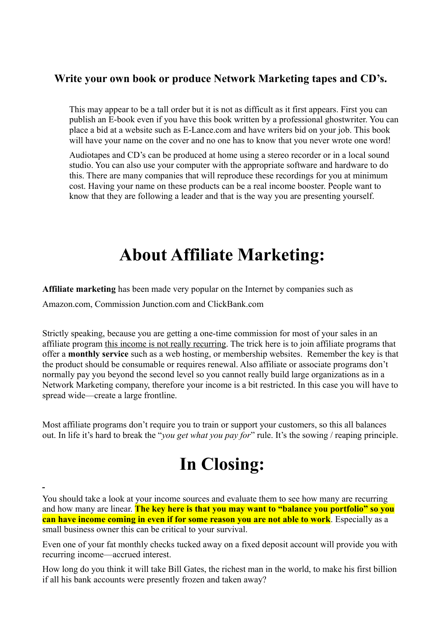### **Write your own book or produce Network Marketing tapes and CD's.**

This may appear to be a tall order but it is not as difficult as it first appears. First you can publish an E-book even if you have this book written by a professional ghostwriter. You can place a bid at a website such as E-Lance.com and have writers bid on your job. This book will have your name on the cover and no one has to know that you never wrote one word!

Audiotapes and CD's can be produced at home using a stereo recorder or in a local sound studio. You can also use your computer with the appropriate software and hardware to do this. There are many companies that will reproduce these recordings for you at minimum cost. Having your name on these products can be a real income booster. People want to know that they are following a leader and that is the way you are presenting yourself.

# **About Affiliate Marketing:**

**Affiliate marketing** has been made very popular on the Internet by companies such as

Amazon.com, Commission Junction.com and ClickBank.com

Strictly speaking, because you are getting a one-time commission for most of your sales in an affiliate program this income is not really recurring. The trick here is to join affiliate programs that offer a **monthly service** such as a web hosting, or membership websites. Remember the key is that the product should be consumable or requires renewal. Also affiliate or associate programs don't normally pay you beyond the second level so you cannot really build large organizations as in a Network Marketing company, therefore your income is a bit restricted. In this case you will have to spread wide—create a large frontline.

Most affiliate programs don't require you to train or support your customers, so this all balances out. In life it's hard to break the "*you get what you pay for*" rule. It's the sowing / reaping principle.

# **In Closing:**

You should take a look at your income sources and evaluate them to see how many are recurring and how many are linear. **The key here is that you may want to "balance you portfolio" so you can have income coming in even if for some reason you are not able to work**. Especially as a small business owner this can be critical to your survival.

Even one of your fat monthly checks tucked away on a fixed deposit account will provide you with recurring income—accrued interest.

How long do you think it will take Bill Gates, the richest man in the world, to make his first billion if all his bank accounts were presently frozen and taken away?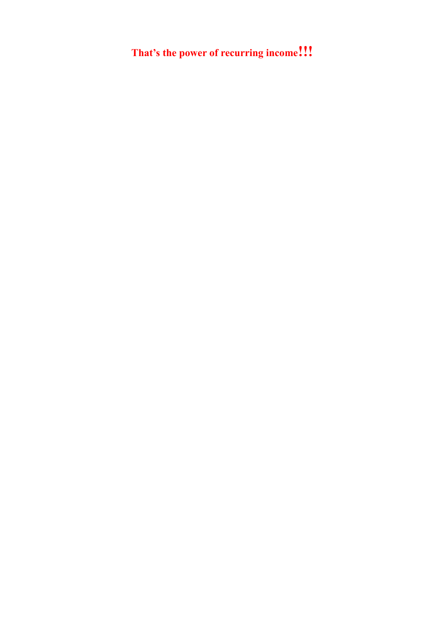**That's the power of recurring income!!!**